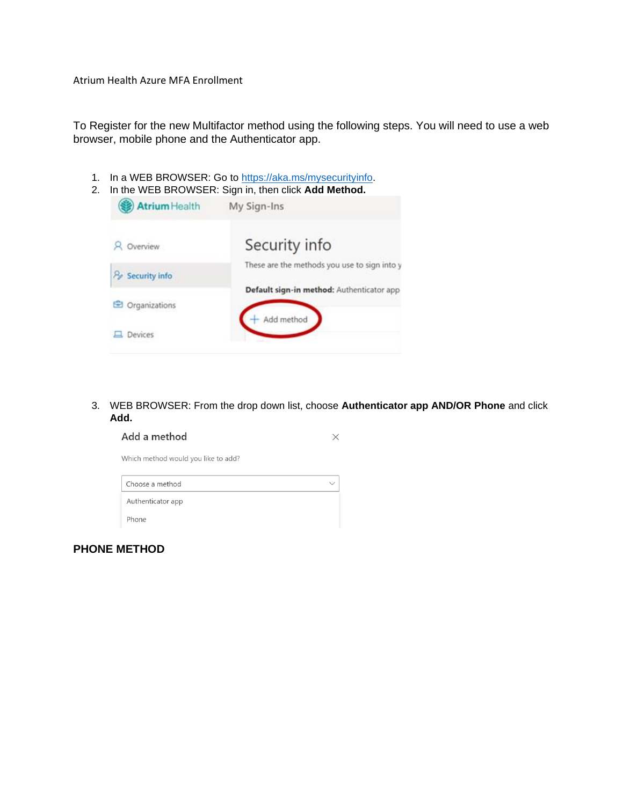Atrium Health Azure MFA Enrollment

To Register for the new Multifactor method using the following steps. You will need to use a web browser, mobile phone and the Authenticator app.

1. In a WEB BROWSER: Go to [https://aka.ms/mysecurityinfo.](https://aka.ms/mysecurityinfo)

|  |  | 2. In the WEB BROWSER: Sign in, then click Add Method. |  |  |  |  |  |
|--|--|--------------------------------------------------------|--|--|--|--|--|
|--|--|--------------------------------------------------------|--|--|--|--|--|

| My Sign-Ins                                  |
|----------------------------------------------|
| Security info                                |
| These are the methods you use to sign into y |
| Default sign-in method: Authenticator app    |
| Add method                                   |
|                                              |

3. WEB BROWSER: From the drop down list, choose **Authenticator app AND/OR Phone** and click **Add.** 

| Add a method                        |  |
|-------------------------------------|--|
| Which method would you like to add? |  |
| Choose a method                     |  |
| Authenticator app                   |  |
| Phone                               |  |

**PHONE METHOD**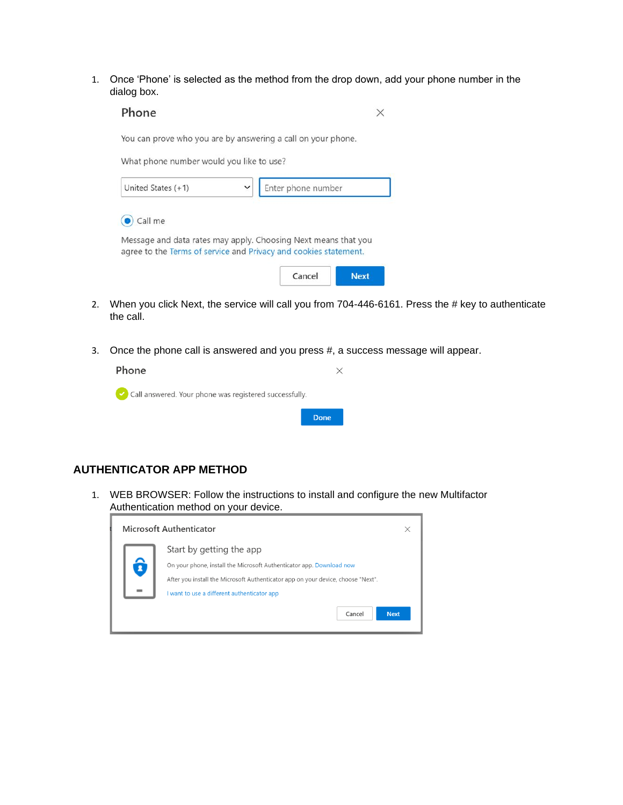1. Once 'Phone' is selected as the method from the drop down, add your phone number in the dialog box.

|                                          | You can prove who you are by answering a call on your phone.                                                                       |  |
|------------------------------------------|------------------------------------------------------------------------------------------------------------------------------------|--|
| What phone number would you like to use? |                                                                                                                                    |  |
| United States $(+1)$                     | Enter phone number<br>$\checkmark$                                                                                                 |  |
|                                          |                                                                                                                                    |  |
| Call me                                  |                                                                                                                                    |  |
|                                          |                                                                                                                                    |  |
|                                          | Message and data rates may apply. Choosing Next means that you<br>agree to the Terms of service and Privacy and cookies statement. |  |

- 2. When you click Next, the service will call you from 704-446-6161. Press the # key to authenticate the call.
- 3. Once the phone call is answered and you press #, a success message will appear.



## **AUTHENTICATOR APP METHOD**

1. WEB BROWSER: Follow the instructions to install and configure the new Multifactor Authentication method on your device.

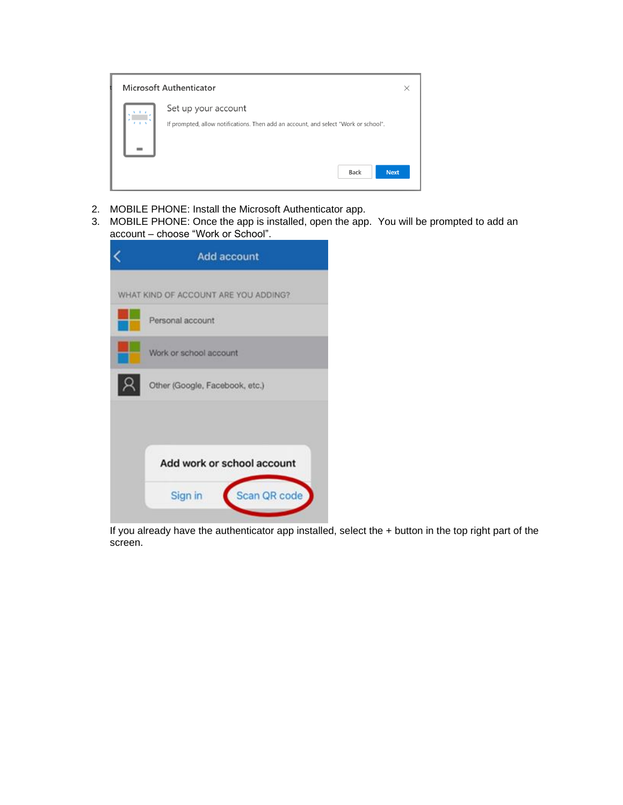

- 2. MOBILE PHONE: Install the Microsoft Authenticator app.
- 3. MOBILE PHONE: Once the app is installed, open the app. You will be prompted to add an account – choose "Work or School".

| Scan QR code |
|--------------|
|              |

If you already have the authenticator app installed, select the + button in the top right part of the screen.